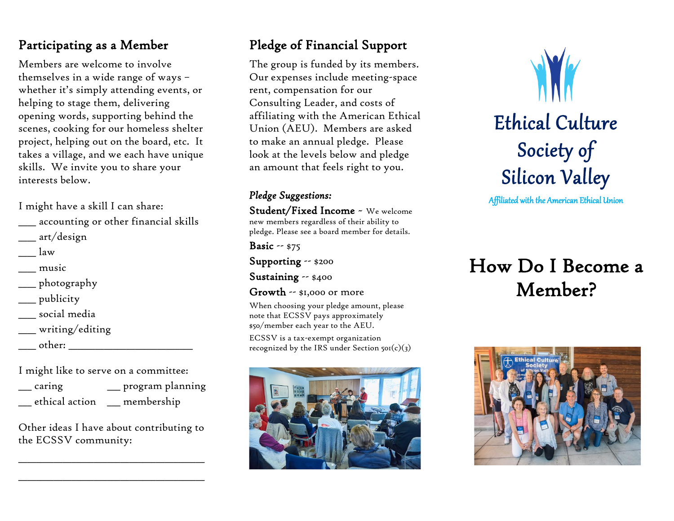## Participating as a Member

Members are welcome to involve themselves in a wide range of ways – whether it's simply attending events, or helping to stage them, delivering opening words, supporting behind the scenes, cooking for our homeless shelter project, helping out on the board, etc. It takes a village, and we each have unique skills. We invite you to share your interests below.

I might have a skill I can share:

- \_\_\_\_ accounting or other financial skills
- \_\_\_\_ art/design
- $\frac{1}{2}$
- \_\_\_\_ music
- \_\_\_\_ photography
- \_\_\_\_ publicity
- \_\_\_\_ social media
- \_\_\_\_ writing/editing
- \_\_\_\_ other: \_\_\_\_\_\_\_\_\_\_\_\_\_\_\_\_\_\_\_\_\_\_\_\_\_\_\_\_

I might like to serve on a committee:

| caring         | _ program planning |
|----------------|--------------------|
| ethical action | __ membership      |

Other ideas I have about contributing to the ECSSV community:

\_\_\_\_\_\_\_\_\_\_\_\_\_\_\_\_\_\_\_\_\_\_\_\_\_\_\_\_\_\_\_\_\_\_\_\_\_\_\_\_\_\_

\_\_\_\_\_\_\_\_\_\_\_\_\_\_\_\_\_\_\_\_\_\_\_\_\_\_\_\_\_\_\_\_\_\_\_\_\_\_\_\_\_\_

## Pledge of Financial Support

The group is funded by its members. Our expenses include meeting-space rent, compensation for our Consulting Leader, and costs of affiliating with the American Ethical Union (AEU). Members are asked to make an annual pledge. Please look at the levels below and pledge an amount that feels right to you.

#### *Pledge Suggestions:*

Student/Fixed Income ~ We welcome new members regardless of their ability to pledge. Please see a board member for details.

Basic -- \$75 Supporting -- \$200

Sustaining -- \$400

Growth -- \$1,000 or more

When choosing your pledge amount, please note that ECSSV pays approximately \$50/member each year to the AEU.

ECSSV is a tax-exempt organization recognized by the IRS under Section  $\text{50I}(c)(3)$ 





Affiliated with the American Ethical Union

# How Do I Become a Member?